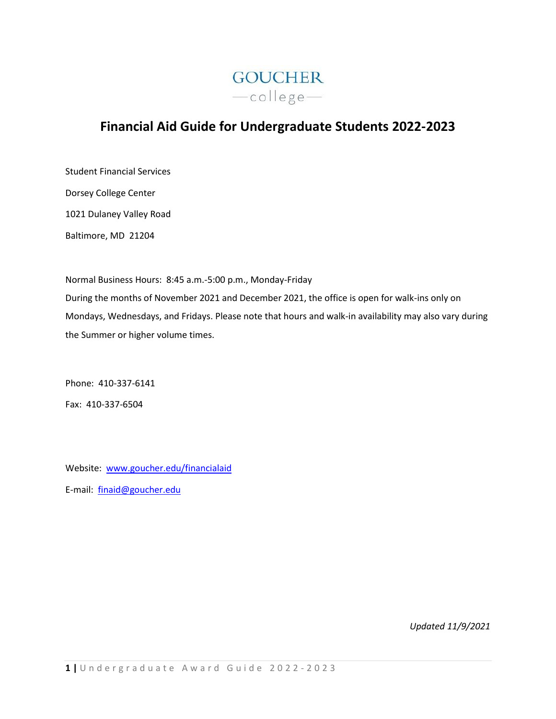

# **Financial Aid Guide for Undergraduate Students 2022-2023**

Student Financial Services Dorsey College Center 1021 Dulaney Valley Road Baltimore, MD 21204

Normal Business Hours: 8:45 a.m.-5:00 p.m., Monday-Friday During the months of November 2021 and December 2021, the office is open for walk-ins only on Mondays, Wednesdays, and Fridays. Please note that hours and walk-in availability may also vary during the Summer or higher volume times.

Phone: 410-337-6141 Fax: 410-337-6504

Website: [www.goucher.edu/financialaid](http://www.goucher.edu/financialaid) E-mail: [finaid@goucher.edu](mailto:finaid@goucher.edu)

*Updated 11/9/2021*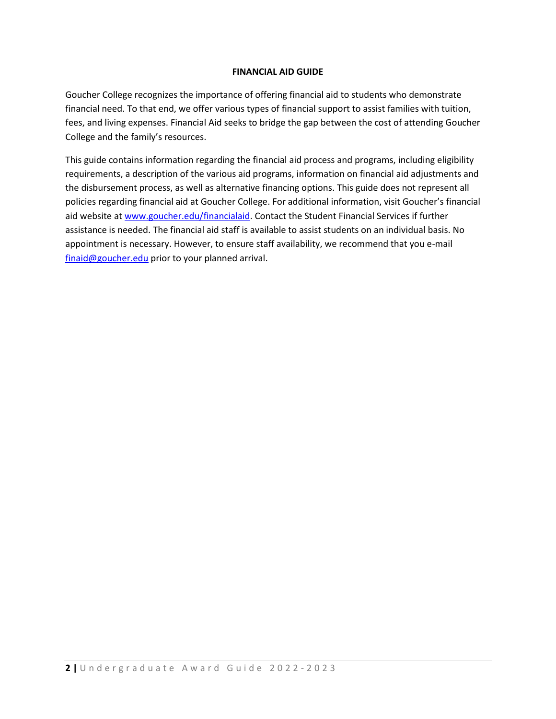### **FINANCIAL AID GUIDE**

Goucher College recognizes the importance of offering financial aid to students who demonstrate financial need. To that end, we offer various types of financial support to assist families with tuition, fees, and living expenses. Financial Aid seeks to bridge the gap between the cost of attending Goucher College and the family's resources.

This guide contains information regarding the financial aid process and programs, including eligibility requirements, a description of the various aid programs, information on financial aid adjustments and the disbursement process, as well as alternative financing options. This guide does not represent all policies regarding financial aid at Goucher College. For additional information, visit Goucher's financial aid website at [www.goucher.edu/financialaid.](http://www.goucher.edu/financialaid) Contact the Student Financial Services if further assistance is needed. The financial aid staff is available to assist students on an individual basis. No appointment is necessary. However, to ensure staff availability, we recommend that you e-mail [finaid@goucher.edu](mailto:finaid@goucher.edu) prior to your planned arrival.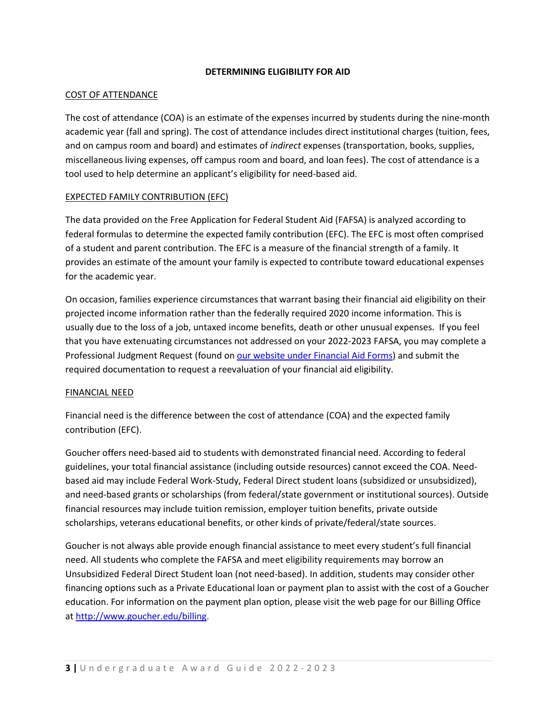#### **DETERMINING ELIGIBILITY FOR AID**

#### COST OF ATTENDANCE

The cost of attendance (COA) is an estimate of the expenses incurred by students during the nine-month academic year (fall and spring). The cost of attendance includes direct institutional charges (tuition, fees, and on campus room and board) and estimates of *indirect* expenses (transportation, books, supplies, miscellaneous living expenses, off campus room and board, and loan fees). The cost of attendance is a tool used to help determine an applicant's eligibility for need-based aid.

## EXPECTED FAMILY CONTRIBUTION (EFC)

The data provided on the Free Application for Federal Student Aid (FAFSA) is analyzed according to federal formulas to determine the expected family contribution (EFC). The EFC is most often comprised of a student and parent contribution. The EFC is a measure of the financial strength of a family. It provides an estimate of the amount your family is expected to contribute toward educational expenses for the academic year.

On occasion, families experience circumstances that warrant basing their financial aid eligibility on their projected income information rather than the federally required 2020 income information. This is usually due to the loss of a job, untaxed income benefits, death or other unusual expenses. If you feel that you have extenuating circumstances not addressed on your 2022-2023 FAFSA, you may complete a Professional Judgment Request (found on [our website under Financial Aid Forms\)](http://www.goucher.edu/financial-aid/forms-and-resources/forms) and submit the required documentation to request a reevaluation of your financial aid eligibility.

#### FINANCIAL NEED

Financial need is the difference between the cost of attendance (COA) and the expected family contribution (EFC).

Goucher offers need-based aid to students with demonstrated financial need. According to federal guidelines, your total financial assistance (including outside resources) cannot exceed the COA. Needbased aid may include Federal Work-Study, Federal Direct student loans (subsidized or unsubsidized), and need-based grants or scholarships (from federal/state government or institutional sources). Outside financial resources may include tuition remission, employer tuition benefits, private outside scholarships, veterans educational benefits, or other kinds of private/federal/state sources.

Goucher is not always able provide enough financial assistance to meet every student's full financial need. All students who complete the FAFSA and meet eligibility requirements may borrow an Unsubsidized Federal Direct Student loan (not need-based). In addition, students may consider other financing options such as a Private Educational loan or payment plan to assist with the cost of a Goucher education. For information on the payment plan option, please visit the web page for our Billing Office at [http://www.goucher.edu/billing.](http://www.goucher.edu/billing)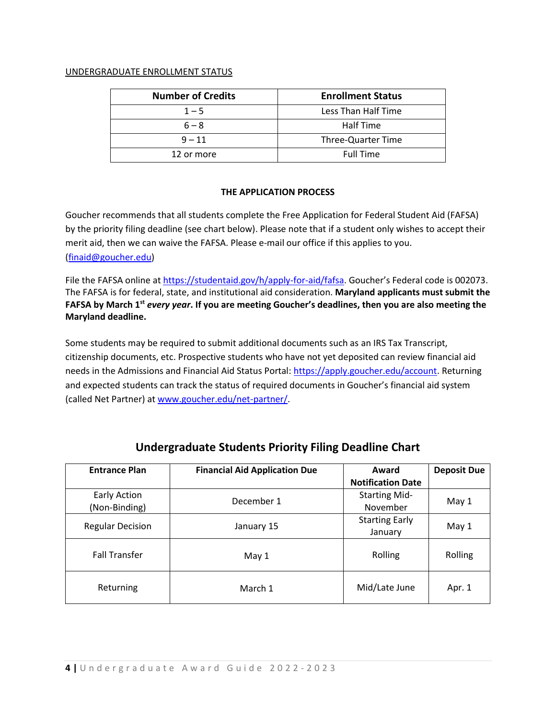#### UNDERGRADUATE ENROLLMENT STATUS

| <b>Number of Credits</b> | <b>Enrollment Status</b> |
|--------------------------|--------------------------|
| $1 - 5$                  | Less Than Half Time      |
| $6 - 8$                  | Half Time                |
| $9 - 11$                 | Three-Quarter Time       |
| 12 or more               | <b>Full Time</b>         |

#### **THE APPLICATION PROCESS**

Goucher recommends that all students complete the Free Application for Federal Student Aid (FAFSA) by the priority filing deadline (see chart below). Please note that if a student only wishes to accept their merit aid, then we can waive the FAFSA. Please e-mail our office if this applies to you. [\(finaid@goucher.edu\)](mailto:finaid@goucher.edu)

File the FAFSA online a[t https://studentaid.gov/h/apply-for-aid/fafsa.](https://studentaid.gov/h/apply-for-aid/fafsa) Goucher's Federal code is 002073. The FAFSA is for federal, state, and institutional aid consideration. **Maryland applicants must submit the FAFSA by March 1st** *every year***. If you are meeting Goucher's deadlines, then you are also meeting the Maryland deadline.**

Some students may be required to submit additional documents such as an IRS Tax Transcript, citizenship documents, etc. Prospective students who have not yet deposited can review financial aid needs in the Admissions and Financial Aid Status Portal: [https://apply.goucher.edu/account.](https://apply.goucher.edu/account) Returning and expected students can track the status of required documents in Goucher's financial aid system (called Net Partner) a[t www.goucher.edu/net-partner/.](http://www.goucher.edu/net-partner/)

| <b>Entrance Plan</b>          | <b>Financial Aid Application Due</b> | Award<br><b>Notification Date</b> | <b>Deposit Due</b> |
|-------------------------------|--------------------------------------|-----------------------------------|--------------------|
| Early Action<br>(Non-Binding) | December 1                           | <b>Starting Mid-</b><br>November  | May 1              |
| <b>Regular Decision</b>       | January 15                           | <b>Starting Early</b><br>January  | May 1              |
| <b>Fall Transfer</b>          | May 1                                | Rolling                           | Rolling            |
| Returning                     | March 1                              | Mid/Late June                     | Apr. 1             |

## **Undergraduate Students Priority Filing Deadline Chart**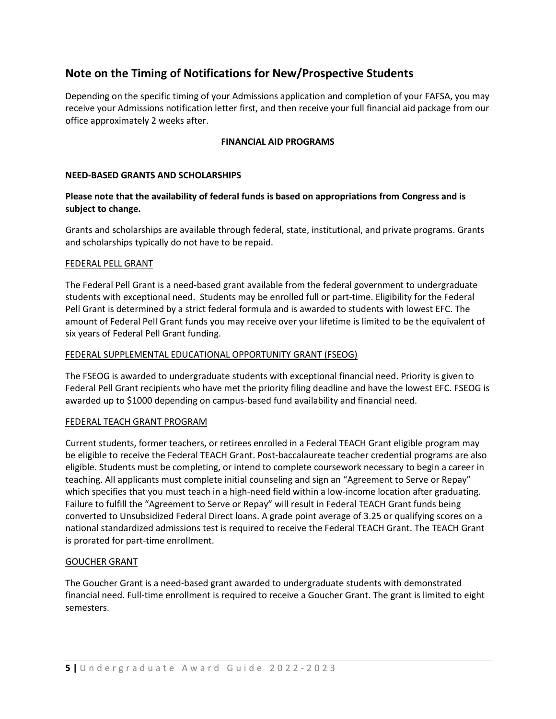## **Note on the Timing of Notifications for New/Prospective Students**

Depending on the specific timing of your Admissions application and completion of your FAFSA, you may receive your Admissions notification letter first, and then receive your full financial aid package from our office approximately 2 weeks after.

## **FINANCIAL AID PROGRAMS**

#### **NEED-BASED GRANTS AND SCHOLARSHIPS**

### **Please note that the availability of federal funds is based on appropriations from Congress and is subject to change.**

Grants and scholarships are available through federal, state, institutional, and private programs. Grants and scholarships typically do not have to be repaid.

#### FEDERAL PELL GRANT

The Federal Pell Grant is a need-based grant available from the federal government to undergraduate students with exceptional need. Students may be enrolled full or part-time. Eligibility for the Federal Pell Grant is determined by a strict federal formula and is awarded to students with lowest EFC. The amount of Federal Pell Grant funds you may receive over your lifetime is limited to be the equivalent of six years of Federal Pell Grant funding.

#### FEDERAL SUPPLEMENTAL EDUCATIONAL OPPORTUNITY GRANT (FSEOG)

The FSEOG is awarded to undergraduate students with exceptional financial need. Priority is given to Federal Pell Grant recipients who have met the priority filing deadline and have the lowest EFC. FSEOG is awarded up to \$1000 depending on campus-based fund availability and financial need.

#### FEDERAL TEACH GRANT PROGRAM

Current students, former teachers, or retirees enrolled in a Federal TEACH Grant eligible program may be eligible to receive the Federal TEACH Grant. Post-baccalaureate teacher credential programs are also eligible. Students must be completing, or intend to complete coursework necessary to begin a career in teaching. All applicants must complete initial counseling and sign an "Agreement to Serve or Repay" which specifies that you must teach in a high-need field within a low-income location after graduating. Failure to fulfill the "Agreement to Serve or Repay" will result in Federal TEACH Grant funds being converted to Unsubsidized Federal Direct loans. A grade point average of 3.25 or qualifying scores on a national standardized admissions test is required to receive the Federal TEACH Grant. The TEACH Grant is prorated for part-time enrollment.

#### GOUCHER GRANT

The Goucher Grant is a need-based grant awarded to undergraduate students with demonstrated financial need. Full-time enrollment is required to receive a Goucher Grant. The grant is limited to eight semesters.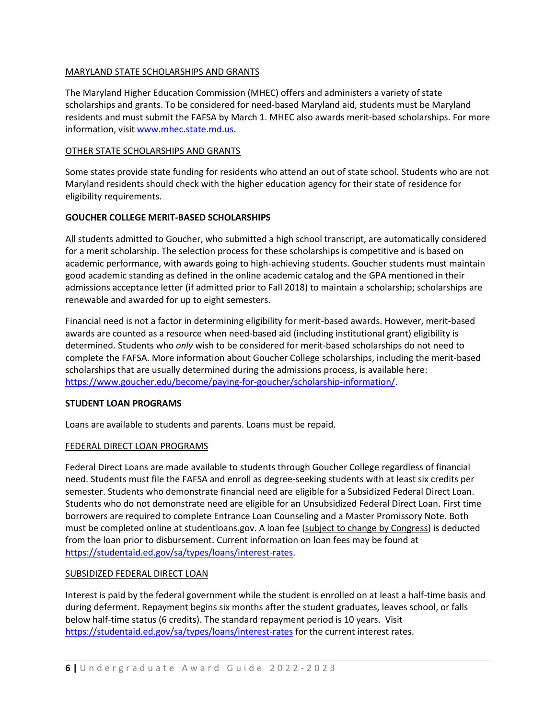## MARYLAND STATE SCHOLARSHIPS AND GRANTS

The Maryland Higher Education Commission (MHEC) offers and administers a variety of state scholarships and grants. To be considered for need-based Maryland aid, students must be Maryland residents and must submit the FAFSA by March 1. MHEC also awards merit-based scholarships. For more information, visit [www.mhec.state.md.us.](http://www.mhec.state.md.us/)

#### OTHER STATE SCHOLARSHIPS AND GRANTS

Some states provide state funding for residents who attend an out of state school. Students who are not Maryland residents should check with the higher education agency for their state of residence for eligibility requirements.

## **GOUCHER COLLEGE MERIT-BASED SCHOLARSHIPS**

All students admitted to Goucher, who submitted a high school transcript, are automatically considered for a merit scholarship. The selection process for these scholarships is competitive and is based on academic performance, with awards going to high-achieving students. Goucher students must maintain good academic standing as defined in the online academic catalog and the GPA mentioned in their admissions acceptance letter (if admitted prior to Fall 2018) to maintain a scholarship; scholarships are renewable and awarded for up to eight semesters.

Financial need is not a factor in determining eligibility for merit-based awards. However, merit-based awards are counted as a resource when need-based aid (including institutional grant) eligibility is determined. Students who *only* wish to be considered for merit-based scholarships do not need to complete the FAFSA. More information about Goucher College scholarships, including the merit-based scholarships that are usually determined during the admissions process, is available here: [https://www.goucher.edu/become/paying-for-goucher/scholarship-information/.](https://www.goucher.edu/become/paying-for-goucher/scholarship-information/)

#### **STUDENT LOAN PROGRAMS**

Loans are available to students and parents. Loans must be repaid.

## FEDERAL DIRECT LOAN PROGRAMS

Federal Direct Loans are made available to students through Goucher College regardless of financial need. Students must file the FAFSA and enroll as degree-seeking students with at least six credits per semester. Students who demonstrate financial need are eligible for a Subsidized Federal Direct Loan. Students who do not demonstrate need are eligible for an Unsubsidized Federal Direct Loan. First time borrowers are required to complete Entrance Loan Counseling and a Master Promissory Note. Both must be completed online at studentloans.gov. A loan fee (subject to change by Congress) is deducted from the loan prior to disbursement. Current information on loan fees may be found at [https://studentaid.ed.gov/sa/types/loans/interest-rates.](https://studentaid.ed.gov/sa/types/loans/interest-rates)

#### SUBSIDIZED FEDERAL DIRECT LOAN

Interest is paid by the federal government while the student is enrolled on at least a half-time basis and during deferment. Repayment begins six months after the student graduates, leaves school, or falls below half-time status (6 credits). The standard repayment period is 10 years. Visit <https://studentaid.ed.gov/sa/types/loans/interest-rates> for the current interest rates.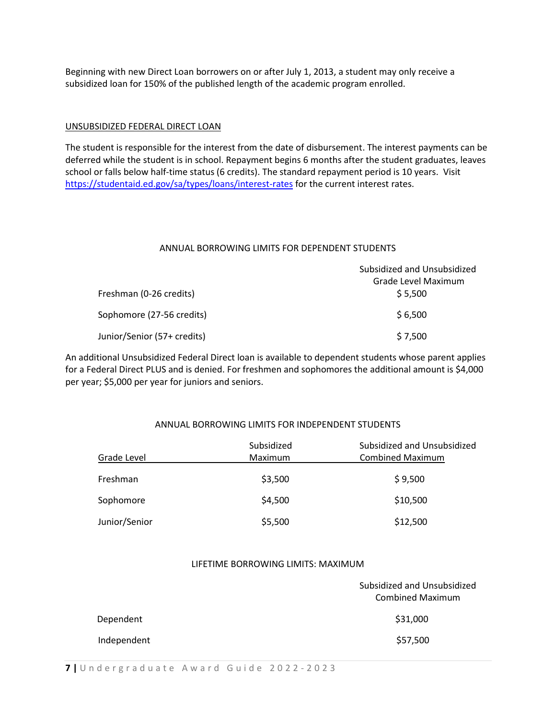Beginning with new Direct Loan borrowers on or after July 1, 2013, a student may only receive a subsidized loan for 150% of the published length of the academic program enrolled.

#### UNSUBSIDIZED FEDERAL DIRECT LOAN

The student is responsible for the interest from the date of disbursement. The interest payments can be deferred while the student is in school. Repayment begins 6 months after the student graduates, leaves school or falls below half-time status (6 credits). The standard repayment period is 10 years. Visit <https://studentaid.ed.gov/sa/types/loans/interest-rates> for the current interest rates.

#### ANNUAL BORROWING LIMITS FOR DEPENDENT STUDENTS

|                             | Subsidized and Unsubsidized |  |
|-----------------------------|-----------------------------|--|
|                             | Grade Level Maximum         |  |
| Freshman (0-26 credits)     | \$5,500                     |  |
| Sophomore (27-56 credits)   | \$6,500                     |  |
| Junior/Senior (57+ credits) | \$7,500                     |  |

An additional Unsubsidized Federal Direct loan is available to dependent students whose parent applies for a Federal Direct PLUS and is denied. For freshmen and sophomores the additional amount is \$4,000 per year; \$5,000 per year for juniors and seniors.

### ANNUAL BORROWING LIMITS FOR INDEPENDENT STUDENTS

| Grade Level   | Subsidized<br>Maximum | Subsidized and Unsubsidized<br><b>Combined Maximum</b> |
|---------------|-----------------------|--------------------------------------------------------|
| Freshman      | \$3,500               | \$9,500                                                |
| Sophomore     | \$4,500               | \$10,500                                               |
| Junior/Senior | \$5,500               | \$12,500                                               |

#### LIFETIME BORROWING LIMITS: MAXIMUM

|             | Subsidized and Unsubsidized<br><b>Combined Maximum</b> |  |
|-------------|--------------------------------------------------------|--|
| Dependent   | \$31,000                                               |  |
| Independent | \$57,500                                               |  |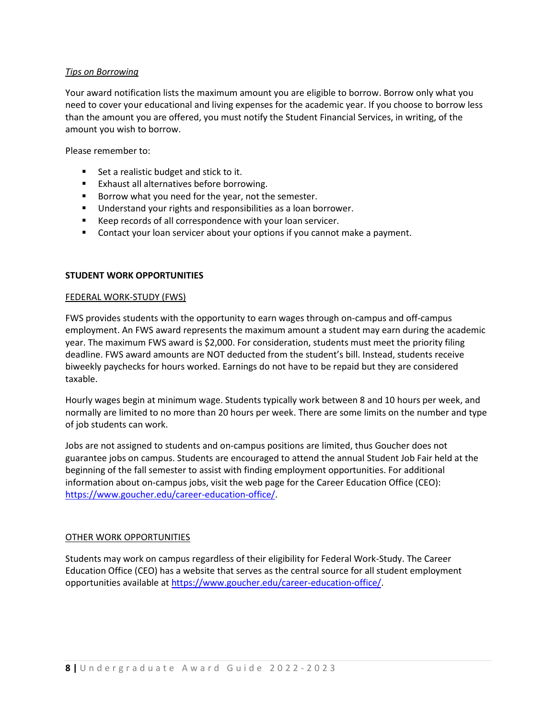#### *Tips on Borrowing*

Your award notification lists the maximum amount you are eligible to borrow. Borrow only what you need to cover your educational and living expenses for the academic year. If you choose to borrow less than the amount you are offered, you must notify the Student Financial Services, in writing, of the amount you wish to borrow.

Please remember to:

- Set a realistic budget and stick to it.
- Exhaust all alternatives before borrowing.
- Borrow what you need for the year, not the semester.
- Understand your rights and responsibilities as a loan borrower.
- Keep records of all correspondence with your loan servicer.
- Contact your loan servicer about your options if you cannot make a payment.

#### **STUDENT WORK OPPORTUNITIES**

#### FEDERAL WORK-STUDY (FWS)

FWS provides students with the opportunity to earn wages through on-campus and off-campus employment. An FWS award represents the maximum amount a student may earn during the academic year. The maximum FWS award is \$2,000. For consideration, students must meet the priority filing deadline. FWS award amounts are NOT deducted from the student's bill. Instead, students receive biweekly paychecks for hours worked. Earnings do not have to be repaid but they are considered taxable.

Hourly wages begin at minimum wage. Students typically work between 8 and 10 hours per week, and normally are limited to no more than 20 hours per week. There are some limits on the number and type of job students can work.

Jobs are not assigned to students and on-campus positions are limited, thus Goucher does not guarantee jobs on campus. Students are encouraged to attend the annual Student Job Fair held at the beginning of the fall semester to assist with finding employment opportunities. For additional information about on-campus jobs, visit the web page for the Career Education Office (CEO): [https://www.goucher.edu/career-education-office/.](https://www.goucher.edu/career-education-office/)

#### OTHER WORK OPPORTUNITIES

Students may work on campus regardless of their eligibility for Federal Work-Study. The Career Education Office (CEO) has a website that serves as the central source for all student employment opportunities available at [https://www.goucher.edu/career-education-office/.](https://www.goucher.edu/career-education-office/)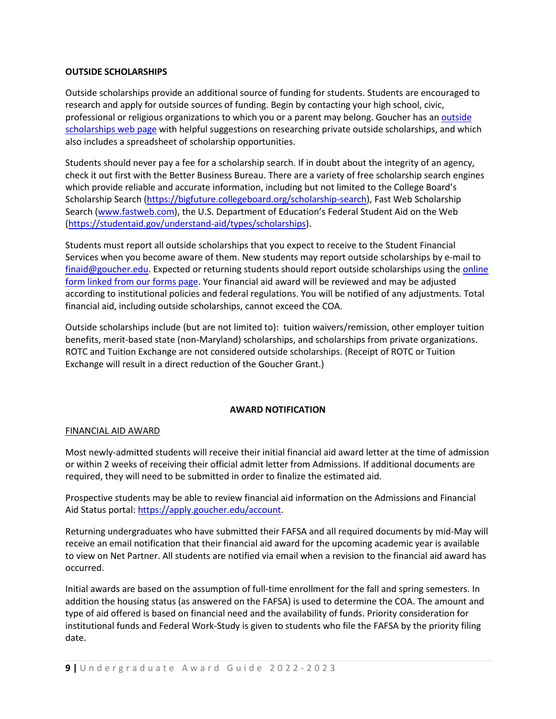### **OUTSIDE SCHOLARSHIPS**

Outside scholarships provide an additional source of funding for students. Students are encouraged to research and apply for outside sources of funding. Begin by contacting your high school, civic, professional or religious organizations to which you or a parent may belong. Goucher has an outside [scholarships web page](http://www.goucher.edu/financial-aid/types-of-financial-aid/outside-scholarships) with helpful suggestions on researching private outside scholarships, and which also includes a spreadsheet of scholarship opportunities.

Students should never pay a fee for a scholarship search. If in doubt about the integrity of an agency, check it out first with the Better Business Bureau. There are a variety of free scholarship search engines which provide reliable and accurate information, including but not limited to the College Board's Scholarship Search [\(https://bigfuture.collegeboard.org/scholarship-search\)](https://bigfuture.collegeboard.org/scholarship-search), Fast Web Scholarship Search [\(www.fastweb.com](http://www.fastweb.com/)), the U.S. Department of Education's Federal Student Aid on the Web [\(https://studentaid.gov/understand-aid/types/scholarships\)](https://studentaid.gov/understand-aid/types/scholarships).

Students must report all outside scholarships that you expect to receive to the Student Financial Services when you become aware of them. New students may report outside scholarships by e-mail to [finaid@goucher.edu.](mailto:finaid@goucher.edu) Expected or returning students should report outside scholarships using the online [form linked from our forms page.](http://www.goucher.edu/financial-aid/forms-and-resources/forms) Your financial aid award will be reviewed and may be adjusted according to institutional policies and federal regulations. You will be notified of any adjustments. Total financial aid, including outside scholarships, cannot exceed the COA.

Outside scholarships include (but are not limited to): tuition waivers/remission, other employer tuition benefits, merit-based state (non-Maryland) scholarships, and scholarships from private organizations. ROTC and Tuition Exchange are not considered outside scholarships. (Receipt of ROTC or Tuition Exchange will result in a direct reduction of the Goucher Grant.)

#### **AWARD NOTIFICATION**

#### FINANCIAL AID AWARD

Most newly-admitted students will receive their initial financial aid award letter at the time of admission or within 2 weeks of receiving their official admit letter from Admissions. If additional documents are required, they will need to be submitted in order to finalize the estimated aid.

Prospective students may be able to review financial aid information on the Admissions and Financial Aid Status portal[: https://apply.goucher.edu/account.](https://apply.goucher.edu/account)

Returning undergraduates who have submitted their FAFSA and all required documents by mid-May will receive an email notification that their financial aid award for the upcoming academic year is available to view on Net Partner. All students are notified via email when a revision to the financial aid award has occurred.

Initial awards are based on the assumption of full-time enrollment for the fall and spring semesters. In addition the housing status (as answered on the FAFSA) is used to determine the COA. The amount and type of aid offered is based on financial need and the availability of funds. Priority consideration for institutional funds and Federal Work-Study is given to students who file the FAFSA by the priority filing date.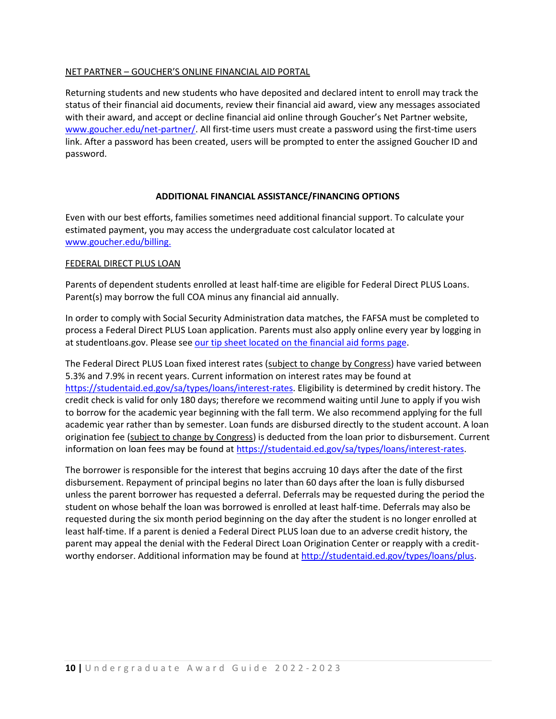#### NET PARTNER – GOUCHER'S ONLINE FINANCIAL AID PORTAL

Returning students and new students who have deposited and declared intent to enroll may track the status of their financial aid documents, review their financial aid award, view any messages associated with their award, and accept or decline financial aid online through Goucher's Net Partner website, [www.goucher.edu/net-partner/.](http://www.goucher.edu/net-partner/) All first-time users must create a password using the first-time users link. After a password has been created, users will be prompted to enter the assigned Goucher ID and password.

#### **ADDITIONAL FINANCIAL ASSISTANCE/FINANCING OPTIONS**

Even with our best efforts, families sometimes need additional financial support. To calculate your estimated payment, you may access the undergraduate cost calculator located at [www.goucher.edu/billing.](http://www.goucher.edu/billing)

#### FEDERAL DIRECT PLUS LOAN

Parents of dependent students enrolled at least half-time are eligible for Federal Direct PLUS Loans. Parent(s) may borrow the full COA minus any financial aid annually.

In order to comply with Social Security Administration data matches, the FAFSA must be completed to process a Federal Direct PLUS Loan application. Parents must also apply online every year by logging in at studentloans.gov. Please se[e our tip sheet located on the financial aid forms page.](http://www.goucher.edu/financial-aid/financial-aid-forms)

The Federal Direct PLUS Loan fixed interest rates (subject to change by Congress) have varied between 5.3% and 7.9% in recent years. Current information on interest rates may be found at [https://studentaid.ed.gov/sa/types/loans/interest-rates.](https://studentaid.ed.gov/sa/types/loans/interest-rates) Eligibility is determined by credit history. The credit check is valid for only 180 days; therefore we recommend waiting until June to apply if you wish to borrow for the academic year beginning with the fall term. We also recommend applying for the full academic year rather than by semester. Loan funds are disbursed directly to the student account. A loan origination fee (subject to change by Congress) is deducted from the loan prior to disbursement. Current information on loan fees may be found at [https://studentaid.ed.gov/sa/types/loans/interest-rates.](https://studentaid.ed.gov/sa/types/loans/interest-rates)

The borrower is responsible for the interest that begins accruing 10 days after the date of the first disbursement. Repayment of principal begins no later than 60 days after the loan is fully disbursed unless the parent borrower has requested a deferral. Deferrals may be requested during the period the student on whose behalf the loan was borrowed is enrolled at least half-time. Deferrals may also be requested during the six month period beginning on the day after the student is no longer enrolled at least half-time. If a parent is denied a Federal Direct PLUS loan due to an adverse credit history, the parent may appeal the denial with the Federal Direct Loan Origination Center or reapply with a creditworthy endorser. Additional information may be found at [http://studentaid.ed.gov/types/loans/plus.](http://studentaid.ed.gov/types/loans/plus)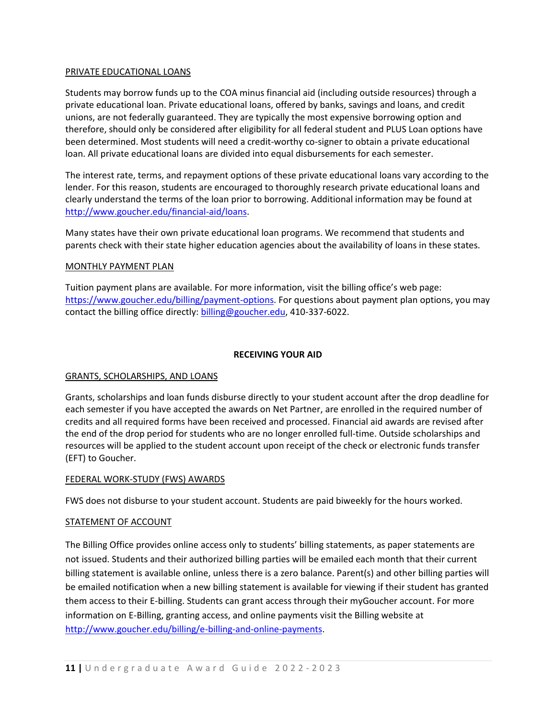#### PRIVATE EDUCATIONAL LOANS

Students may borrow funds up to the COA minus financial aid (including outside resources) through a private educational loan. Private educational loans, offered by banks, savings and loans, and credit unions, are not federally guaranteed. They are typically the most expensive borrowing option and therefore, should only be considered after eligibility for all federal student and PLUS Loan options have been determined. Most students will need a credit-worthy co-signer to obtain a private educational loan. All private educational loans are divided into equal disbursements for each semester.

The interest rate, terms, and repayment options of these private educational loans vary according to the lender. For this reason, students are encouraged to thoroughly research private educational loans and clearly understand the terms of the loan prior to borrowing. Additional information may be found at [http://www.goucher.edu/financial-aid/loans.](http://www.goucher.edu/financial-aid/loans)

Many states have their own private educational loan programs. We recommend that students and parents check with their state higher education agencies about the availability of loans in these states.

#### MONTHLY PAYMENT PLAN

Tuition payment plans are available. For more information, visit the billing office's web page: [https://www.goucher.edu/billing/payment-options.](https://www.goucher.edu/billing/payment-options) For questions about payment plan options, you may contact the billing office directly: [billing@goucher.edu,](mailto:billing@goucher.edu) 410-337-6022.

#### **RECEIVING YOUR AID**

#### GRANTS, SCHOLARSHIPS, AND LOANS

Grants, scholarships and loan funds disburse directly to your student account after the drop deadline for each semester if you have accepted the awards on Net Partner, are enrolled in the required number of credits and all required forms have been received and processed. Financial aid awards are revised after the end of the drop period for students who are no longer enrolled full-time. Outside scholarships and resources will be applied to the student account upon receipt of the check or electronic funds transfer (EFT) to Goucher.

#### FEDERAL WORK-STUDY (FWS) AWARDS

FWS does not disburse to your student account. Students are paid biweekly for the hours worked.

#### STATEMENT OF ACCOUNT

The Billing Office provides online access only to students' billing statements, as paper statements are not issued. Students and their authorized billing parties will be emailed each month that their current billing statement is available online, unless there is a zero balance. Parent(s) and other billing parties will be emailed notification when a new billing statement is available for viewing if their student has granted them access to their E-billing. Students can grant access through their myGoucher account. For more information on E-Billing, granting access, and online payments visit the Billing website at [http://www.goucher.edu/billing/e-billing-and-online-payments.](http://www.goucher.edu/billing/e-billing-and-online-payments)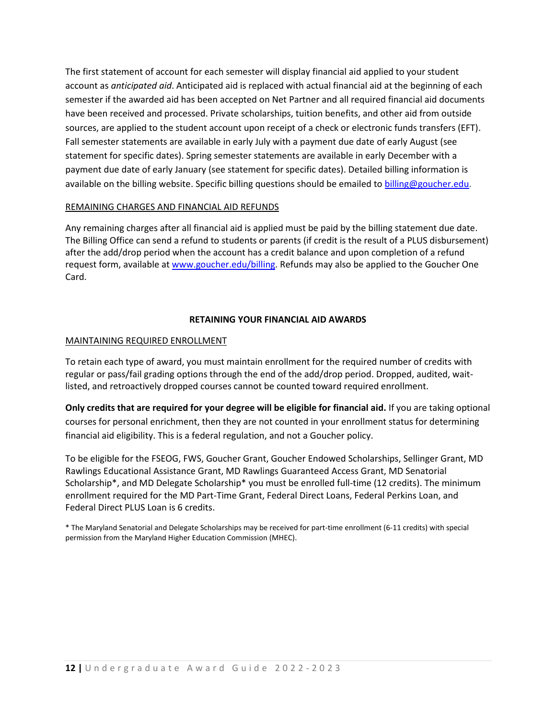The first statement of account for each semester will display financial aid applied to your student account as *anticipated aid*. Anticipated aid is replaced with actual financial aid at the beginning of each semester if the awarded aid has been accepted on Net Partner and all required financial aid documents have been received and processed. Private scholarships, tuition benefits, and other aid from outside sources, are applied to the student account upon receipt of a check or electronic funds transfers (EFT). Fall semester statements are available in early July with a payment due date of early August (see statement for specific dates). Spring semester statements are available in early December with a payment due date of early January (see statement for specific dates). Detailed billing information is available on the billing website. Specific billing questions should be emailed to [billing@goucher.edu.](mailto:billing@goucher.edu)

#### REMAINING CHARGES AND FINANCIAL AID REFUNDS

Any remaining charges after all financial aid is applied must be paid by the billing statement due date. The Billing Office can send a refund to students or parents (if credit is the result of a PLUS disbursement) after the add/drop period when the account has a credit balance and upon completion of a refund request form, available at [www.goucher.edu/billing.](http://www.goucher.edu/billing) Refunds may also be applied to the Goucher One Card.

#### **RETAINING YOUR FINANCIAL AID AWARDS**

#### MAINTAINING REQUIRED ENROLLMENT

To retain each type of award, you must maintain enrollment for the required number of credits with regular or pass/fail grading options through the end of the add/drop period. Dropped, audited, waitlisted, and retroactively dropped courses cannot be counted toward required enrollment.

**Only credits that are required for your degree will be eligible for financial aid.** If you are taking optional courses for personal enrichment, then they are not counted in your enrollment status for determining financial aid eligibility. This is a federal regulation, and not a Goucher policy.

To be eligible for the FSEOG, FWS, Goucher Grant, Goucher Endowed Scholarships, Sellinger Grant, MD Rawlings Educational Assistance Grant, MD Rawlings Guaranteed Access Grant, MD Senatorial Scholarship\*, and MD Delegate Scholarship\* you must be enrolled full-time (12 credits). The minimum enrollment required for the MD Part-Time Grant, Federal Direct Loans, Federal Perkins Loan, and Federal Direct PLUS Loan is 6 credits.

\* The Maryland Senatorial and Delegate Scholarships may be received for part-time enrollment (6-11 credits) with special permission from the Maryland Higher Education Commission (MHEC).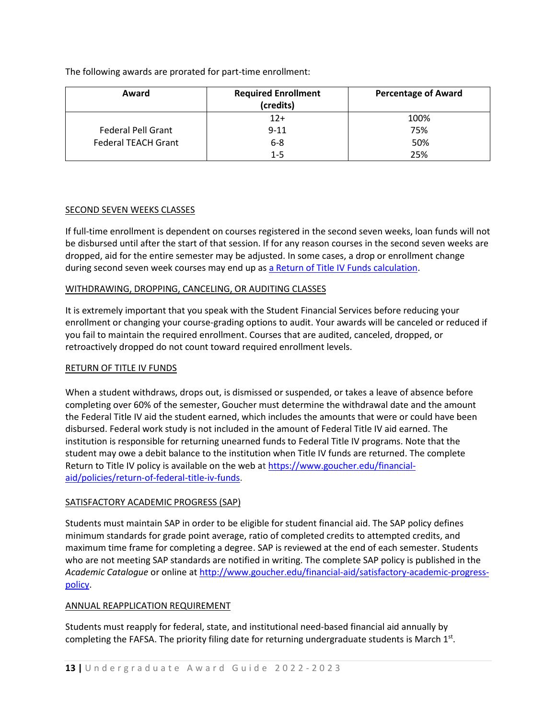The following awards are prorated for part-time enrollment:

| Award                      | <b>Required Enrollment</b><br>(credits) | <b>Percentage of Award</b> |
|----------------------------|-----------------------------------------|----------------------------|
|                            | $12+$                                   | 100%                       |
| <b>Federal Pell Grant</b>  | $9 - 11$                                | 75%                        |
| <b>Federal TEACH Grant</b> | $6 - 8$                                 | 50%                        |
|                            | 1-5                                     | 25%                        |

#### SECOND SEVEN WEEKS CLASSES

If full-time enrollment is dependent on courses registered in the second seven weeks, loan funds will not be disbursed until after the start of that session. If for any reason courses in the second seven weeks are dropped, aid for the entire semester may be adjusted. In some cases, a drop or enrollment change during second seven week courses may end up as [a Return of Title IV Funds calculation.](https://www.goucher.edu/financial-aid/policies/return-of-federal-title-iv-funds)

## WITHDRAWING, DROPPING, CANCELING, OR AUDITING CLASSES

It is extremely important that you speak with the Student Financial Services before reducing your enrollment or changing your course-grading options to audit. Your awards will be canceled or reduced if you fail to maintain the required enrollment. Courses that are audited, canceled, dropped, or retroactively dropped do not count toward required enrollment levels.

#### RETURN OF TITLE IV FUNDS

When a student withdraws, drops out, is dismissed or suspended, or takes a leave of absence before completing over 60% of the semester, Goucher must determine the withdrawal date and the amount the Federal Title IV aid the student earned, which includes the amounts that were or could have been disbursed. Federal work study is not included in the amount of Federal Title IV aid earned. The institution is responsible for returning unearned funds to Federal Title IV programs. Note that the student may owe a debit balance to the institution when Title IV funds are returned. The complete Return to Title IV policy is available on the web at [https://www.goucher.edu/financial](https://www.goucher.edu/financial-aid/policies/return-of-federal-title-iv-funds)[aid/policies/return-of-federal-title-iv-funds.](https://www.goucher.edu/financial-aid/policies/return-of-federal-title-iv-funds)

## SATISFACTORY ACADEMIC PROGRESS (SAP)

Students must maintain SAP in order to be eligible for student financial aid. The SAP policy defines minimum standards for grade point average, ratio of completed credits to attempted credits, and maximum time frame for completing a degree. SAP is reviewed at the end of each semester. Students who are not meeting SAP standards are notified in writing. The complete SAP policy is published in the *Academic Catalogue* or online a[t http://www.goucher.edu/financial-aid/satisfactory-academic-progress](http://www.goucher.edu/financial-aid/satisfactory-academic-progress-policy)[policy.](http://www.goucher.edu/financial-aid/satisfactory-academic-progress-policy)

## ANNUAL REAPPLICATION REQUIREMENT

Students must reapply for federal, state, and institutional need-based financial aid annually by completing the FAFSA. The priority filing date for returning undergraduate students is March  $1<sup>st</sup>$ .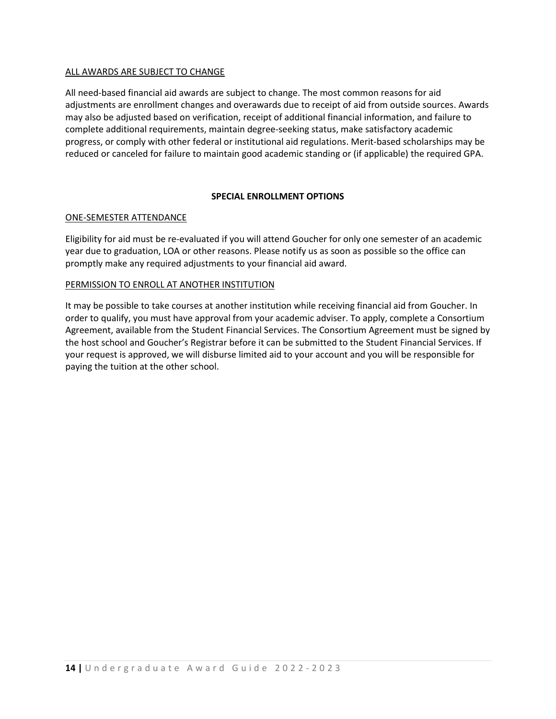#### ALL AWARDS ARE SUBJECT TO CHANGE

All need-based financial aid awards are subject to change. The most common reasons for aid adjustments are enrollment changes and overawards due to receipt of aid from outside sources. Awards may also be adjusted based on verification, receipt of additional financial information, and failure to complete additional requirements, maintain degree-seeking status, make satisfactory academic progress, or comply with other federal or institutional aid regulations. Merit-based scholarships may be reduced or canceled for failure to maintain good academic standing or (if applicable) the required GPA.

#### **SPECIAL ENROLLMENT OPTIONS**

#### ONE-SEMESTER ATTENDANCE

Eligibility for aid must be re-evaluated if you will attend Goucher for only one semester of an academic year due to graduation, LOA or other reasons. Please notify us as soon as possible so the office can promptly make any required adjustments to your financial aid award.

#### PERMISSION TO ENROLL AT ANOTHER INSTITUTION

It may be possible to take courses at another institution while receiving financial aid from Goucher. In order to qualify, you must have approval from your academic adviser. To apply, complete a Consortium Agreement, available from the Student Financial Services. The Consortium Agreement must be signed by the host school and Goucher's Registrar before it can be submitted to the Student Financial Services. If your request is approved, we will disburse limited aid to your account and you will be responsible for paying the tuition at the other school.